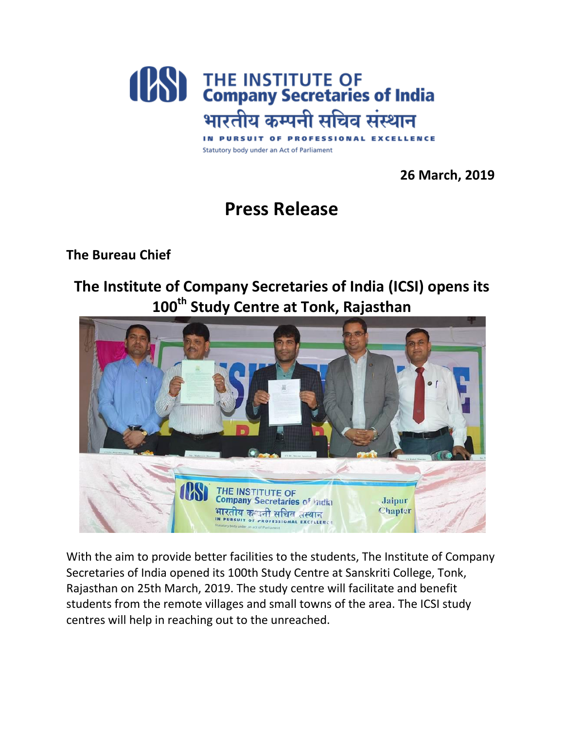

Statutory body under an Act of Parliament

 **26 March, 2019**

## **Press Release**

**The Bureau Chief**

## **The Institute of Company Secretaries of India (ICSI) opens its 100th Study Centre at Tonk, Rajasthan**



With the aim to provide better facilities to the students, The Institute of Company Secretaries of India opened its 100th Study Centre at Sanskriti College, Tonk, Rajasthan on 25th March, 2019. The study centre will facilitate and benefit students from the remote villages and small towns of the area. The ICSI study centres will help in reaching out to the unreached.